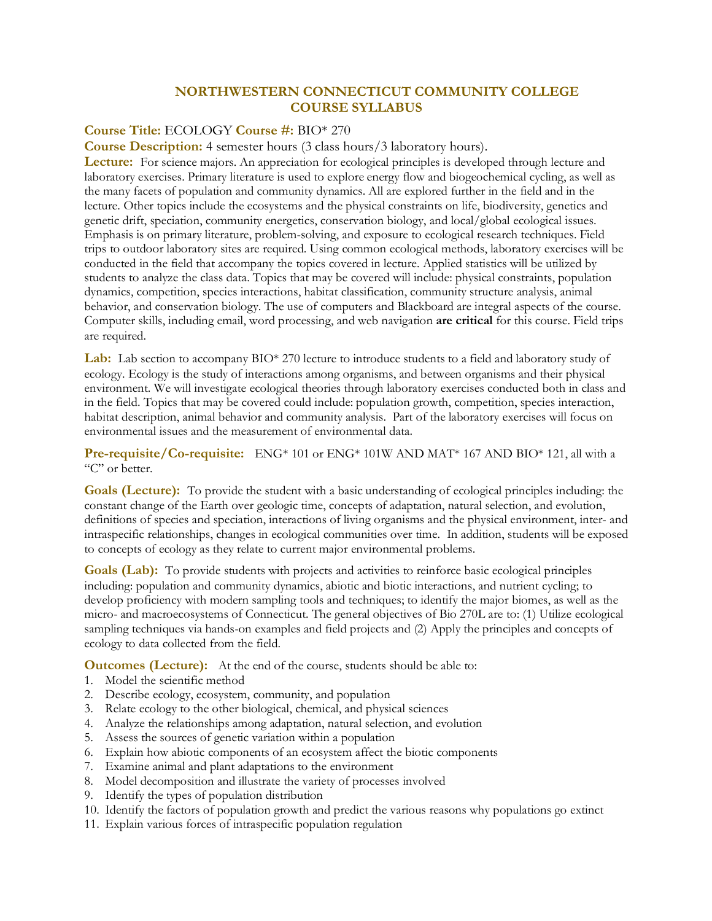## **NORTHWESTERN CONNECTICUT COMMUNITY COLLEGE COURSE SYLLABUS**

## **Course Title:** ECOLOGY **Course #:** BIO\* 270

**Course Description:** 4 semester hours (3 class hours/3 laboratory hours).

**Lecture:** For science majors. An appreciation for ecological principles is developed through lecture and laboratory exercises. Primary literature is used to explore energy flow and biogeochemical cycling, as well as the many facets of population and community dynamics. All are explored further in the field and in the lecture. Other topics include the ecosystems and the physical constraints on life, biodiversity, genetics and genetic drift, speciation, community energetics, conservation biology, and local/global ecological issues. Emphasis is on primary literature, problem-solving, and exposure to ecological research techniques. Field trips to outdoor laboratory sites are required. Using common ecological methods, laboratory exercises will be conducted in the field that accompany the topics covered in lecture. Applied statistics will be utilized by students to analyze the class data. Topics that may be covered will include: physical constraints, population dynamics, competition, species interactions, habitat classification, community structure analysis, animal behavior, and conservation biology. The use of computers and Blackboard are integral aspects of the course. Computer skills, including email, word processing, and web navigation **are critical** for this course. Field trips are required.

**Lab:** Lab section to accompany BIO\* 270 lecture to introduce students to a field and laboratory study of ecology. Ecology is the study of interactions among organisms, and between organisms and their physical environment. We will investigate ecological theories through laboratory exercises conducted both in class and in the field. Topics that may be covered could include: population growth, competition, species interaction, habitat description, animal behavior and community analysis. Part of the laboratory exercises will focus on environmental issues and the measurement of environmental data.

**Pre-requisite/Co-requisite:** ENG\* 101 or ENG\* 101W AND MAT\* 167 AND BIO\* 121, all with a "C" or better.

**Goals (Lecture):** To provide the student with a basic understanding of ecological principles including: the constant change of the Earth over geologic time, concepts of adaptation, natural selection, and evolution, definitions of species and speciation, interactions of living organisms and the physical environment, inter- and intraspecific relationships, changes in ecological communities over time. In addition, students will be exposed to concepts of ecology as they relate to current major environmental problems.

**Goals (Lab):** To provide students with projects and activities to reinforce basic ecological principles including: population and community dynamics, abiotic and biotic interactions, and nutrient cycling; to develop proficiency with modern sampling tools and techniques; to identify the major biomes, as well as the micro- and macroecosystems of Connecticut. The general objectives of Bio 270L are to: (1) Utilize ecological sampling techniques via hands-on examples and field projects and (2) Apply the principles and concepts of ecology to data collected from the field.

**Outcomes (Lecture):** At the end of the course, students should be able to:

- 1. Model the scientific method
- 2. Describe ecology, ecosystem, community, and population
- 3. Relate ecology to the other biological, chemical, and physical sciences
- 4. Analyze the relationships among adaptation, natural selection, and evolution
- 5. Assess the sources of genetic variation within a population
- 6. Explain how abiotic components of an ecosystem affect the biotic components
- 7. Examine animal and plant adaptations to the environment
- 8. Model decomposition and illustrate the variety of processes involved
- 9. Identify the types of population distribution
- 10. Identify the factors of population growth and predict the various reasons why populations go extinct
- 11. Explain various forces of intraspecific population regulation